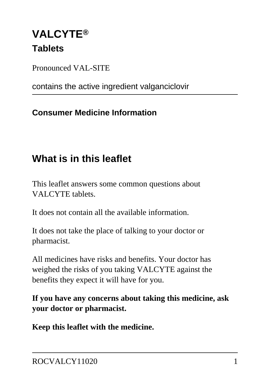# **VALCYTE® Tablets**

Pronounced VAL-SITE

contains the active ingredient valganciclovir

### **Consumer Medicine Information**

# **What is in this leaflet**

This leaflet answers some common questions about VALCYTE tablets.

It does not contain all the available information.

It does not take the place of talking to your doctor or pharmacist.

All medicines have risks and benefits. Your doctor has weighed the risks of you taking VALCYTE against the benefits they expect it will have for you.

**If you have any concerns about taking this medicine, ask your doctor or pharmacist.**

**Keep this leaflet with the medicine.**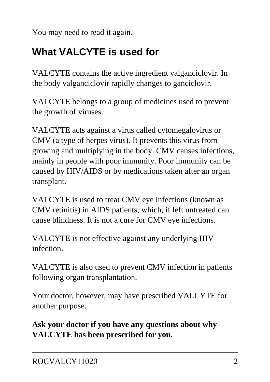You may need to read it again.

# **What VALCYTE is used for**

VALCYTE contains the active ingredient valganciclovir. In the body valganciclovir rapidly changes to ganciclovir.

VALCYTE belongs to a group of medicines used to prevent the growth of viruses.

VALCYTE acts against a virus called cytomegalovirus or CMV (a type of herpes virus). It prevents this virus from growing and multiplying in the body. CMV causes infections, mainly in people with poor immunity. Poor immunity can be caused by HIV/AIDS or by medications taken after an organ transplant.

VALCYTE is used to treat CMV eye infections (known as CMV retinitis) in AIDS patients, which, if left untreated can cause blindness. It is not a cure for CMV eye infections.

VALCYTE is not effective against any underlying HIV infection.

VALCYTE is also used to prevent CMV infection in patients following organ transplantation.

Your doctor, however, may have prescribed VALCYTE for another purpose.

**Ask your doctor if you have any questions about why VALCYTE has been prescribed for you.**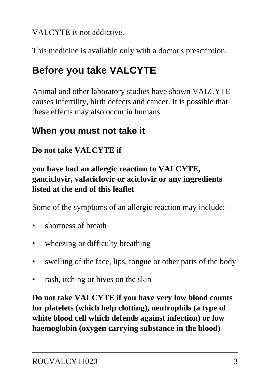VALCYTE is not addictive.

This medicine is available only with a doctor's prescription.

# **Before you take VALCYTE**

Animal and other laboratory studies have shown VALCYTE causes infertility, birth defects and cancer. It is possible that these effects may also occur in humans.

## **When you must not take it**

### **Do not take VALCYTE if**

### **you have had an allergic reaction to VALCYTE, ganciclovir, valaciclovir or aciclovir or any ingredients listed at the end of this leaflet**

Some of the symptoms of an allergic reaction may include:

- shortness of breath
- wheezing or difficulty breathing
- swelling of the face, lips, tongue or other parts of the body
- rash, itching or hives on the skin

**Do not take VALCYTE if you have very low blood counts for platelets (which help clotting), neutrophils (a type of white blood cell which defends against infection) or low haemoglobin (oxygen carrying substance in the blood)**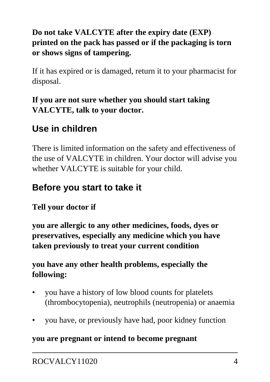### **Do not take VALCYTE after the expiry date (EXP) printed on the pack has passed or if the packaging is torn or shows signs of tampering.**

If it has expired or is damaged, return it to your pharmacist for disposal.

### **If you are not sure whether you should start taking VALCYTE, talk to your doctor.**

## **Use in children**

There is limited information on the safety and effectiveness of the use of VALCYTE in children. Your doctor will advise you whether VALCYTE is suitable for your child.

### **Before you start to take it**

### **Tell your doctor if**

**you are allergic to any other medicines, foods, dyes or preservatives, especially any medicine which you have taken previously to treat your current condition**

### **you have any other health problems, especially the following:**

- you have a history of low blood counts for platelets (thrombocytopenia), neutrophils (neutropenia) or anaemia
- you have, or previously have had, poor kidney function

#### **you are pregnant or intend to become pregnant**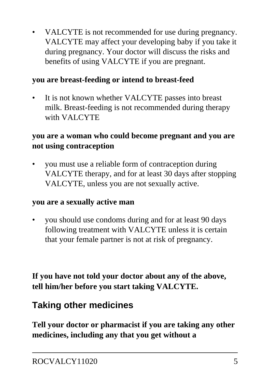VALCYTE is not recommended for use during pregnancy. VALCYTE may affect your developing baby if you take it during pregnancy. Your doctor will discuss the risks and benefits of using VALCYTE if you are pregnant.

### **you are breast-feeding or intend to breast-feed**

It is not known whether VALCYTE passes into breast milk. Breast-feeding is not recommended during therapy with VALCYTE

#### **you are a woman who could become pregnant and you are not using contraception**

• you must use a reliable form of contraception during VALCYTE therapy, and for at least 30 days after stopping VALCYTE, unless you are not sexually active.

#### **you are a sexually active man**

• you should use condoms during and for at least 90 days following treatment with VALCYTE unless it is certain that your female partner is not at risk of pregnancy.

**If you have not told your doctor about any of the above, tell him/her before you start taking VALCYTE.**

### **Taking other medicines**

**Tell your doctor or pharmacist if you are taking any other medicines, including any that you get without a**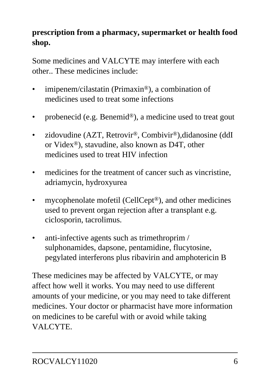### **prescription from a pharmacy, supermarket or health food shop.**

Some medicines and VALCYTE may interfere with each other.. These medicines include:

- imipenem/cilastatin (Primaxin<sup>®</sup>), a combination of medicines used to treat some infections
- probenecid (e.g. Benemid®), a medicine used to treat gout
- zidovudine (AZT, Retrovir<sup>®</sup>, Combivir<sup>®</sup>),didanosine (ddI or Videx®), stavudine, also known as D4T, other medicines used to treat HIV infection
- medicines for the treatment of cancer such as vincristine, adriamycin, hydroxyurea
- mycophenolate mofetil (CellCept<sup>®</sup>), and other medicines used to prevent organ rejection after a transplant e.g. ciclosporin, tacrolimus.
- anti-infective agents such as trimethroprim / sulphonamides, dapsone, pentamidine, flucytosine, pegylated interferons plus ribavirin and amphotericin B

These medicines may be affected by VALCYTE, or may affect how well it works. You may need to use different amounts of your medicine, or you may need to take different medicines. Your doctor or pharmacist have more information on medicines to be careful with or avoid while taking VALCYTE.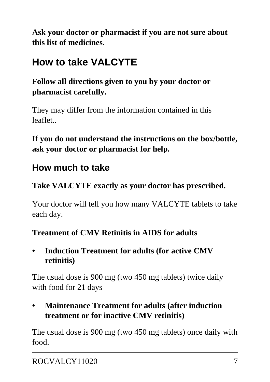**Ask your doctor or pharmacist if you are not sure about this list of medicines.**

# **How to take VALCYTE**

**Follow all directions given to you by your doctor or pharmacist carefully.**

They may differ from the information contained in this leaflet..

**If you do not understand the instructions on the box/bottle, ask your doctor or pharmacist for help.**

## **How much to take**

### **Take VALCYTE exactly as your doctor has prescribed.**

Your doctor will tell you how many VALCYTE tablets to take each day.

### **Treatment of CMV Retinitis in AIDS for adults**

**• Induction Treatment for adults (for active CMV retinitis)**

The usual dose is 900 mg (two 450 mg tablets) twice daily with food for 21 days

**• Maintenance Treatment for adults (after induction treatment or for inactive CMV retinitis)**

The usual dose is 900 mg (two 450 mg tablets) once daily with food.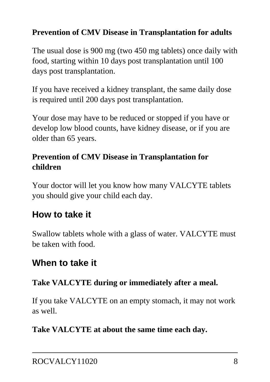### **Prevention of CMV Disease in Transplantation for adults**

The usual dose is 900 mg (two 450 mg tablets) once daily with food, starting within 10 days post transplantation until 100 days post transplantation.

If you have received a kidney transplant, the same daily dose is required until 200 days post transplantation.

Your dose may have to be reduced or stopped if you have or develop low blood counts, have kidney disease, or if you are older than 65 years.

### **Prevention of CMV Disease in Transplantation for children**

Your doctor will let you know how many VALCYTE tablets you should give your child each day.

### **How to take it**

Swallow tablets whole with a glass of water. VALCYTE must be taken with food.

## **When to take it**

### **Take VALCYTE during or immediately after a meal.**

If you take VALCYTE on an empty stomach, it may not work as well.

#### **Take VALCYTE at about the same time each day.**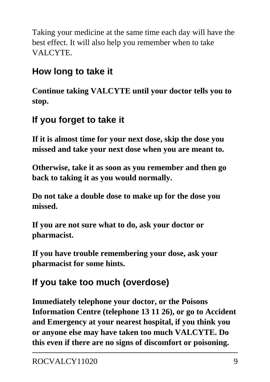Taking your medicine at the same time each day will have the best effect. It will also help you remember when to take VALCYTE.

## **How long to take it**

**Continue taking VALCYTE until your doctor tells you to stop.**

## **If you forget to take it**

**If it is almost time for your next dose, skip the dose you missed and take your next dose when you are meant to.**

**Otherwise, take it as soon as you remember and then go back to taking it as you would normally.**

**Do not take a double dose to make up for the dose you missed.**

**If you are not sure what to do, ask your doctor or pharmacist.**

**If you have trouble remembering your dose, ask your pharmacist for some hints.**

# **If you take too much (overdose)**

**Immediately telephone your doctor, or the Poisons Information Centre (telephone 13 11 26), or go to Accident and Emergency at your nearest hospital, if you think you or anyone else may have taken too much VALCYTE. Do this even if there are no signs of discomfort or poisoning.**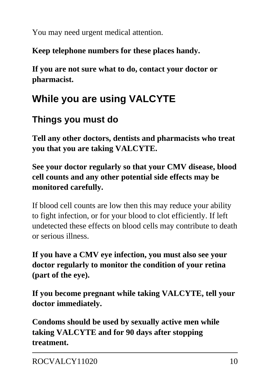You may need urgent medical attention.

**Keep telephone numbers for these places handy.**

**If you are not sure what to do, contact your doctor or pharmacist.**

# **While you are using VALCYTE**

## **Things you must do**

**Tell any other doctors, dentists and pharmacists who treat you that you are taking VALCYTE.**

**See your doctor regularly so that your CMV disease, blood cell counts and any other potential side effects may be monitored carefully.**

If blood cell counts are low then this may reduce your ability to fight infection, or for your blood to clot efficiently. If left undetected these effects on blood cells may contribute to death or serious illness.

**If you have a CMV eye infection, you must also see your doctor regularly to monitor the condition of your retina (part of the eye).**

**If you become pregnant while taking VALCYTE, tell your doctor immediately.**

**Condoms should be used by sexually active men while taking VALCYTE and for 90 days after stopping treatment.**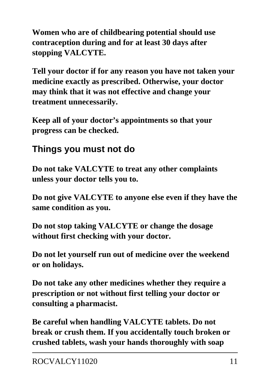**Women who are of childbearing potential should use contraception during and for at least 30 days after stopping VALCYTE.**

**Tell your doctor if for any reason you have not taken your medicine exactly as prescribed. Otherwise, your doctor may think that it was not effective and change your treatment unnecessarily.**

**Keep all of your doctor's appointments so that your progress can be checked.**

### **Things you must not do**

**Do not take VALCYTE to treat any other complaints unless your doctor tells you to.**

**Do not give VALCYTE to anyone else even if they have the same condition as you.**

**Do not stop taking VALCYTE or change the dosage without first checking with your doctor.**

**Do not let yourself run out of medicine over the weekend or on holidays.**

**Do not take any other medicines whether they require a prescription or not without first telling your doctor or consulting a pharmacist.**

**Be careful when handling VALCYTE tablets. Do not break or crush them. If you accidentally touch broken or crushed tablets, wash your hands thoroughly with soap**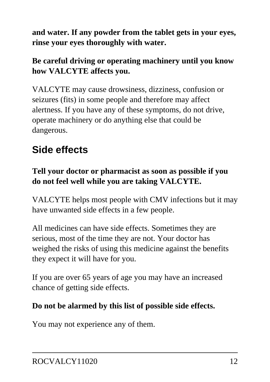**and water. If any powder from the tablet gets in your eyes, rinse your eyes thoroughly with water.**

### **Be careful driving or operating machinery until you know how VALCYTE affects you.**

VALCYTE may cause drowsiness, dizziness, confusion or seizures (fits) in some people and therefore may affect alertness. If you have any of these symptoms, do not drive, operate machinery or do anything else that could be dangerous.

# **Side effects**

### **Tell your doctor or pharmacist as soon as possible if you do not feel well while you are taking VALCYTE.**

VALCYTE helps most people with CMV infections but it may have unwanted side effects in a few people.

All medicines can have side effects. Sometimes they are serious, most of the time they are not. Your doctor has weighed the risks of using this medicine against the benefits they expect it will have for you.

If you are over 65 years of age you may have an increased chance of getting side effects.

### **Do not be alarmed by this list of possible side effects.**

You may not experience any of them.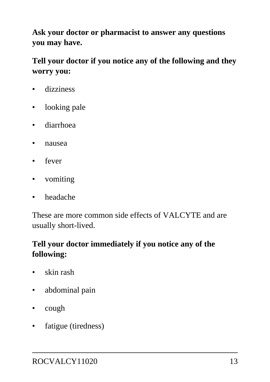**Ask your doctor or pharmacist to answer any questions you may have.**

### **Tell your doctor if you notice any of the following and they worry you:**

- dizziness
- looking pale
- diarrhoea
- nausea
- fever
- vomiting
- headache

These are more common side effects of VALCYTE and are usually short-lived.

### **Tell your doctor immediately if you notice any of the following:**

- skin rash
- abdominal pain
- cough
- fatigue (tiredness)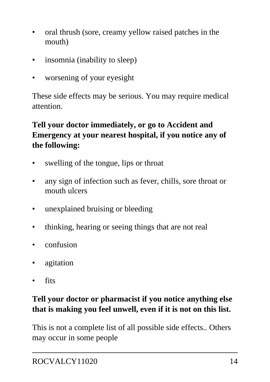- oral thrush (sore, creamy yellow raised patches in the mouth)
- insomnia (inability to sleep)
- worsening of your eyesight

These side effects may be serious. You may require medical attention.

### **Tell your doctor immediately, or go to Accident and Emergency at your nearest hospital, if you notice any of the following:**

- swelling of the tongue, lips or throat
- any sign of infection such as fever, chills, sore throat or mouth ulcers
- unexplained bruising or bleeding
- thinking, hearing or seeing things that are not real
- confusion
- agitation
- fits

### **Tell your doctor or pharmacist if you notice anything else that is making you feel unwell, even if it is not on this list.**

This is not a complete list of all possible side effects.. Others may occur in some people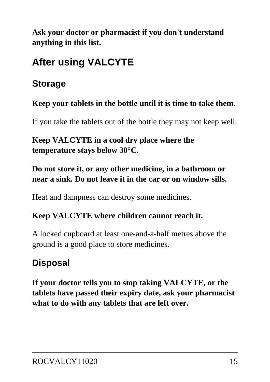**Ask your doctor or pharmacist if you don't understand anything in this list.**

# **After using VALCYTE**

### **Storage**

**Keep your tablets in the bottle until it is time to take them.**

If you take the tablets out of the bottle they may not keep well.

**Keep VALCYTE in a cool dry place where the temperature stays below 30°C.**

### **Do not store it, or any other medicine, in a bathroom or near a sink. Do not leave it in the car or on window sills.**

Heat and dampness can destroy some medicines.

#### **Keep VALCYTE where children cannot reach it.**

A locked cupboard at least one-and-a-half metres above the ground is a good place to store medicines.

# **Disposal**

**If your doctor tells you to stop taking VALCYTE, or the tablets have passed their expiry date, ask your pharmacist what to do with any tablets that are left over.**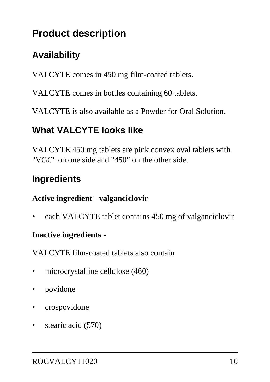# **Product description**

# **Availability**

VALCYTE comes in 450 mg film-coated tablets.

VALCYTE comes in bottles containing 60 tablets.

VALCYTE is also available as a Powder for Oral Solution.

## **What VALCYTE looks like**

VALCYTE 450 mg tablets are pink convex oval tablets with "VGC" on one side and "450" on the other side.

### **Ingredients**

#### **Active ingredient - valganciclovir**

• each VALCYTE tablet contains 450 mg of valganciclovir

#### **Inactive ingredients -**

VALCYTE film-coated tablets also contain

- microcrystalline cellulose (460)
- povidone
- crospovidone
- stearic acid (570)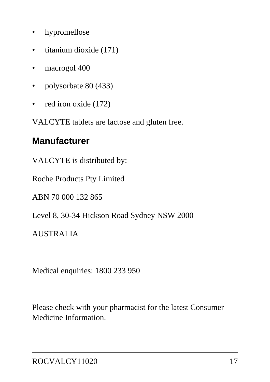- hypromellose
- titanium dioxide (171)
- macrogol 400
- polysorbate 80 (433)
- red iron oxide (172)

VALCYTE tablets are lactose and gluten free.

### **Manufacturer**

VALCYTE is distributed by:

Roche Products Pty Limited

ABN 70 000 132 865

Level 8, 30-34 Hickson Road Sydney NSW 2000

#### AUSTRALIA

Medical enquiries: 1800 233 950

Please check with your pharmacist for the latest Consumer Medicine Information.